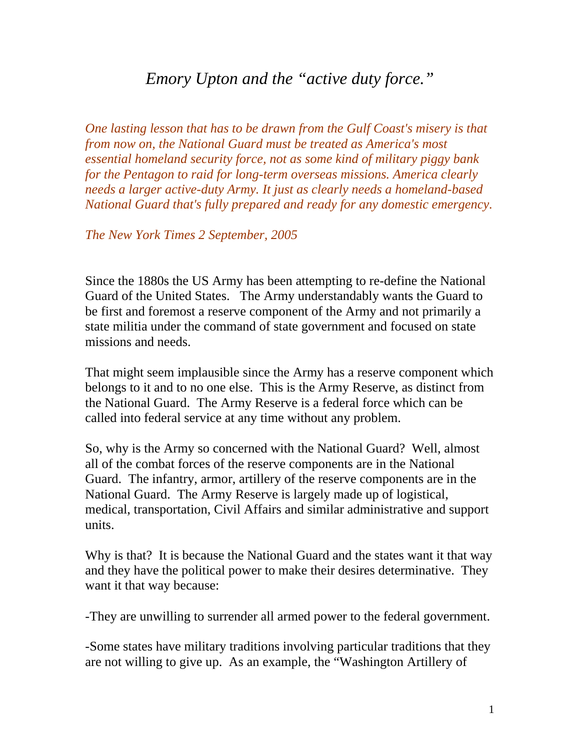## *Emory Upton and the "active duty force."*

*One lasting lesson that has to be drawn from the Gulf Coast's misery is that from now on, the National Guard must be treated as America's most essential homeland security force, not as some kind of military piggy bank for the Pentagon to raid for long-term overseas missions. America clearly needs a larger active-duty Army. It just as clearly needs a homeland-based National Guard that's fully prepared and ready for any domestic emergency.* 

*The New York Times 2 September, 2005* 

Since the 1880s the US Army has been attempting to re-define the National Guard of the United States. The Army understandably wants the Guard to be first and foremost a reserve component of the Army and not primarily a state militia under the command of state government and focused on state missions and needs.

That might seem implausible since the Army has a reserve component which belongs to it and to no one else. This is the Army Reserve, as distinct from the National Guard. The Army Reserve is a federal force which can be called into federal service at any time without any problem.

So, why is the Army so concerned with the National Guard? Well, almost all of the combat forces of the reserve components are in the National Guard. The infantry, armor, artillery of the reserve components are in the National Guard. The Army Reserve is largely made up of logistical, medical, transportation, Civil Affairs and similar administrative and support units.

Why is that? It is because the National Guard and the states want it that way and they have the political power to make their desires determinative. They want it that way because:

-They are unwilling to surrender all armed power to the federal government.

-Some states have military traditions involving particular traditions that they are not willing to give up. As an example, the "Washington Artillery of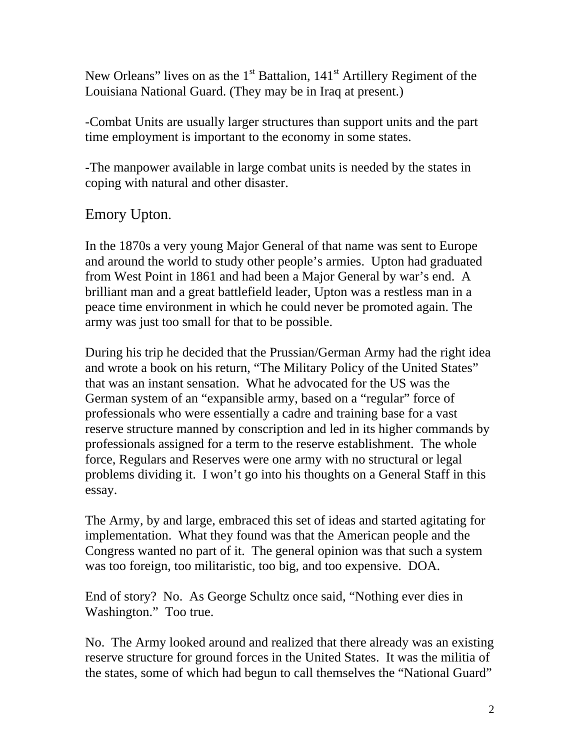New Orleans" lives on as the  $1<sup>st</sup>$  Battalion,  $141<sup>st</sup>$  Artillery Regiment of the Louisiana National Guard. (They may be in Iraq at present.)

-Combat Units are usually larger structures than support units and the part time employment is important to the economy in some states.

-The manpower available in large combat units is needed by the states in coping with natural and other disaster.

## Emory Upton.

In the 1870s a very young Major General of that name was sent to Europe and around the world to study other people's armies. Upton had graduated from West Point in 1861 and had been a Major General by war's end. A brilliant man and a great battlefield leader, Upton was a restless man in a peace time environment in which he could never be promoted again. The army was just too small for that to be possible.

During his trip he decided that the Prussian/German Army had the right idea and wrote a book on his return, "The Military Policy of the United States" that was an instant sensation. What he advocated for the US was the German system of an "expansible army, based on a "regular" force of professionals who were essentially a cadre and training base for a vast reserve structure manned by conscription and led in its higher commands by professionals assigned for a term to the reserve establishment. The whole force, Regulars and Reserves were one army with no structural or legal problems dividing it. I won't go into his thoughts on a General Staff in this essay.

The Army, by and large, embraced this set of ideas and started agitating for implementation. What they found was that the American people and the Congress wanted no part of it. The general opinion was that such a system was too foreign, too militaristic, too big, and too expensive. DOA.

End of story? No. As George Schultz once said, "Nothing ever dies in Washington." Too true.

No. The Army looked around and realized that there already was an existing reserve structure for ground forces in the United States. It was the militia of the states, some of which had begun to call themselves the "National Guard"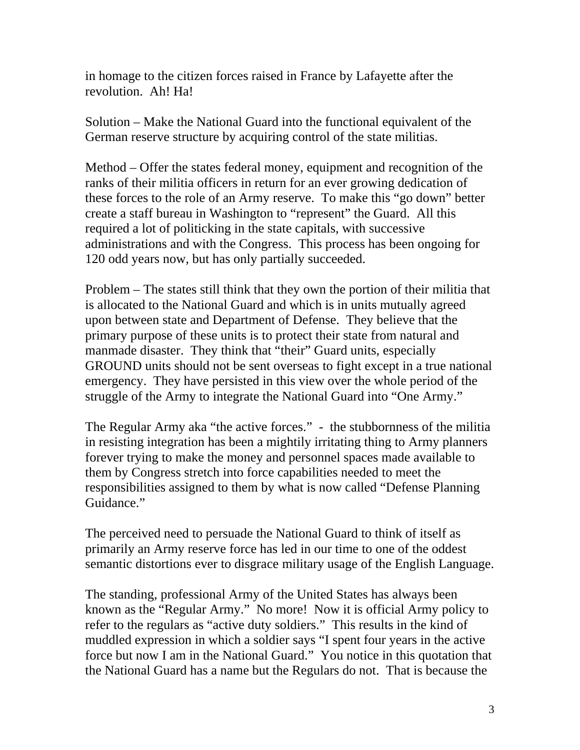in homage to the citizen forces raised in France by Lafayette after the revolution. Ah! Ha!

Solution – Make the National Guard into the functional equivalent of the German reserve structure by acquiring control of the state militias.

Method – Offer the states federal money, equipment and recognition of the ranks of their militia officers in return for an ever growing dedication of these forces to the role of an Army reserve. To make this "go down" better create a staff bureau in Washington to "represent" the Guard. All this required a lot of politicking in the state capitals, with successive administrations and with the Congress. This process has been ongoing for 120 odd years now, but has only partially succeeded.

Problem – The states still think that they own the portion of their militia that is allocated to the National Guard and which is in units mutually agreed upon between state and Department of Defense. They believe that the primary purpose of these units is to protect their state from natural and manmade disaster. They think that "their" Guard units, especially GROUND units should not be sent overseas to fight except in a true national emergency. They have persisted in this view over the whole period of the struggle of the Army to integrate the National Guard into "One Army."

The Regular Army aka "the active forces." - the stubbornness of the militia in resisting integration has been a mightily irritating thing to Army planners forever trying to make the money and personnel spaces made available to them by Congress stretch into force capabilities needed to meet the responsibilities assigned to them by what is now called "Defense Planning Guidance."

The perceived need to persuade the National Guard to think of itself as primarily an Army reserve force has led in our time to one of the oddest semantic distortions ever to disgrace military usage of the English Language.

The standing, professional Army of the United States has always been known as the "Regular Army." No more! Now it is official Army policy to refer to the regulars as "active duty soldiers." This results in the kind of muddled expression in which a soldier says "I spent four years in the active force but now I am in the National Guard." You notice in this quotation that the National Guard has a name but the Regulars do not. That is because the